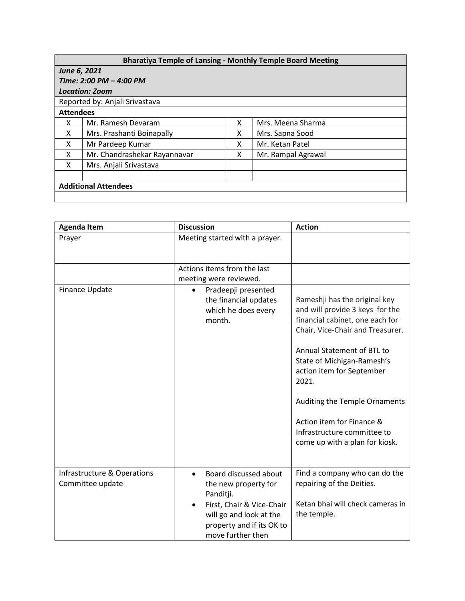## **Bharatiya Temple of Lansing - Monthly Temple Board Meeting**

| June 6, 2021                   |                              |   |                    |  |  |  |
|--------------------------------|------------------------------|---|--------------------|--|--|--|
| Time: 2:00 PM - 4:00 PM        |                              |   |                    |  |  |  |
| <b>Location: Zoom</b>          |                              |   |                    |  |  |  |
| Reported by: Anjali Srivastava |                              |   |                    |  |  |  |
| <b>Attendees</b>               |                              |   |                    |  |  |  |
| x                              | Mr. Ramesh Devaram           | x | Mrs. Meena Sharma  |  |  |  |
| X                              | Mrs. Prashanti Boinapally    | x | Mrs. Sapna Sood    |  |  |  |
| X                              | Mr Pardeep Kumar             | x | Mr. Ketan Patel    |  |  |  |
| X                              | Mr. Chandrashekar Rayannavar | x | Mr. Rampal Agrawal |  |  |  |
| X                              | Mrs. Anjali Srivastava       |   |                    |  |  |  |
|                                |                              |   |                    |  |  |  |
| <b>Additional Attendees</b>    |                              |   |                    |  |  |  |
|                                |                              |   |                    |  |  |  |

| <b>Agenda Item</b>                              | <b>Discussion</b>                                                                                                                                                                              | <b>Action</b>                                                                                                                                                                                                                                                                                                                                                            |
|-------------------------------------------------|------------------------------------------------------------------------------------------------------------------------------------------------------------------------------------------------|--------------------------------------------------------------------------------------------------------------------------------------------------------------------------------------------------------------------------------------------------------------------------------------------------------------------------------------------------------------------------|
| Prayer                                          | Meeting started with a prayer.                                                                                                                                                                 |                                                                                                                                                                                                                                                                                                                                                                          |
|                                                 | Actions items from the last<br>meeting were reviewed.                                                                                                                                          |                                                                                                                                                                                                                                                                                                                                                                          |
| Finance Update                                  | Pradeepji presented<br>$\bullet$<br>the financial updates<br>which he does every<br>month.                                                                                                     | Rameshji has the original key<br>and will provide 3 keys for the<br>financial cabinet, one each for<br>Chair, Vice-Chair and Treasurer.<br>Annual Statement of BTL to<br>State of Michigan-Ramesh's<br>action item for September<br>2021.<br>Auditing the Temple Ornaments<br>Action item for Finance &<br>Infrastructure committee to<br>come up with a plan for kiosk. |
| Infrastructure & Operations<br>Committee update | Board discussed about<br>$\bullet$<br>the new property for<br>Panditji.<br>First, Chair & Vice-Chair<br>$\bullet$<br>will go and look at the<br>property and if its OK to<br>move further then | Find a company who can do the<br>repairing of the Deities.<br>Ketan bhai will check cameras in<br>the temple.                                                                                                                                                                                                                                                            |